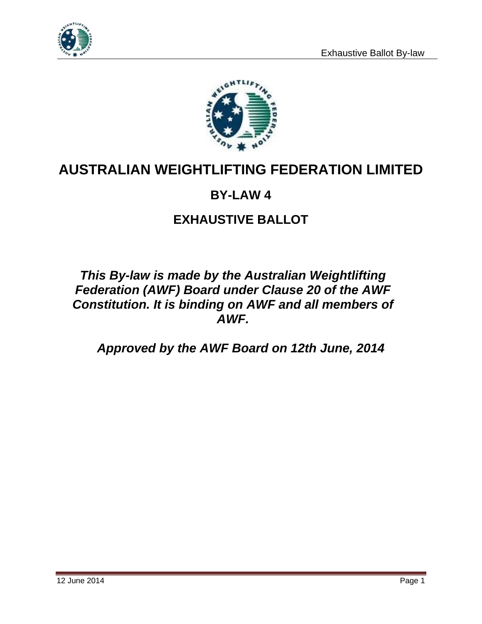



# **AUSTRALIAN WEIGHTLIFTING FEDERATION LIMITED**

### **BY-LAW 4**

## **EXHAUSTIVE BALLOT**

### *This By-law is made by the Australian Weightlifting Federation (AWF) Board under Clause 20 of the AWF Constitution. It is binding on AWF and all members of AWF.*

*Approved by the AWF Board on 12th June, 2014*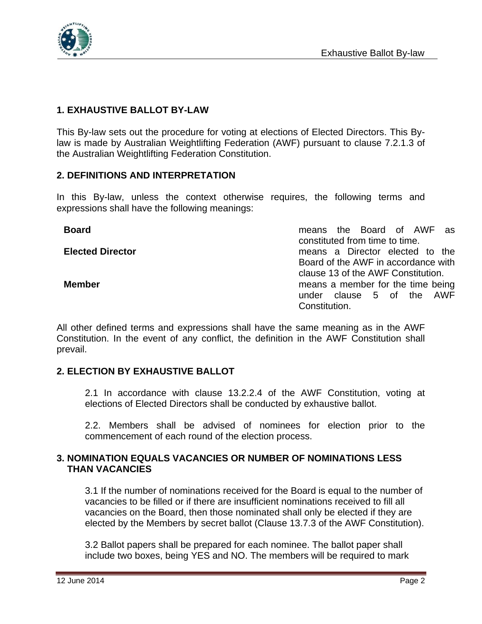

### **1. EXHAUSTIVE BALLOT BY-LAW**

This By-law sets out the procedure for voting at elections of Elected Directors. This Bylaw is made by Australian Weightlifting Federation (AWF) pursuant to clause 7.2.1.3 of the Australian Weightlifting Federation Constitution.

#### **2. DEFINITIONS AND INTERPRETATION**

In this By-law, unless the context otherwise requires, the following terms and expressions shall have the following meanings:

**Board** means the Board of AWF as constituted from time to time. **Elected Director** means a Director elected to the Board of the AWF in accordance with clause 13 of the AWF Constitution. **Member Member Member means a member for the time being** under clause 5 of the AWF Constitution.

All other defined terms and expressions shall have the same meaning as in the AWF Constitution. In the event of any conflict, the definition in the AWF Constitution shall prevail.

#### **2. ELECTION BY EXHAUSTIVE BALLOT**

2.1 In accordance with clause 13.2.2.4 of the AWF Constitution, voting at elections of Elected Directors shall be conducted by exhaustive ballot.

2.2. Members shall be advised of nominees for election prior to the commencement of each round of the election process.

#### **3. NOMINATION EQUALS VACANCIES OR NUMBER OF NOMINATIONS LESS THAN VACANCIES**

3.1 If the number of nominations received for the Board is equal to the number of vacancies to be filled or if there are insufficient nominations received to fill all vacancies on the Board, then those nominated shall only be elected if they are elected by the Members by secret ballot (Clause 13.7.3 of the AWF Constitution).

3.2 Ballot papers shall be prepared for each nominee. The ballot paper shall include two boxes, being YES and NO. The members will be required to mark